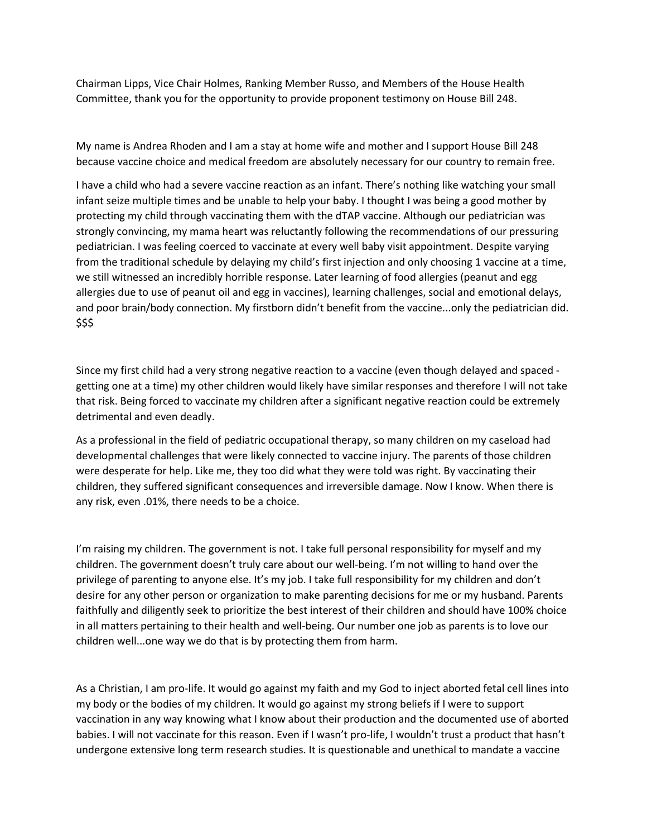Chairman Lipps, Vice Chair Holmes, Ranking Member Russo, and Members of the House Health Committee, thank you for the opportunity to provide proponent testimony on House Bill 248.

My name is Andrea Rhoden and I am a stay at home wife and mother and I support House Bill 248 because vaccine choice and medical freedom are absolutely necessary for our country to remain free.

I have a child who had a severe vaccine reaction as an infant. There's nothing like watching your small infant seize multiple times and be unable to help your baby. I thought I was being a good mother by protecting my child through vaccinating them with the dTAP vaccine. Although our pediatrician was strongly convincing, my mama heart was reluctantly following the recommendations of our pressuring pediatrician. I was feeling coerced to vaccinate at every well baby visit appointment. Despite varying from the traditional schedule by delaying my child's first injection and only choosing 1 vaccine at a time, we still witnessed an incredibly horrible response. Later learning of food allergies (peanut and egg allergies due to use of peanut oil and egg in vaccines), learning challenges, social and emotional delays, and poor brain/body connection. My firstborn didn't benefit from the vaccine...only the pediatrician did. \$\$\$

Since my first child had a very strong negative reaction to a vaccine (even though delayed and spaced getting one at a time) my other children would likely have similar responses and therefore I will not take that risk. Being forced to vaccinate my children after a significant negative reaction could be extremely detrimental and even deadly.

As a professional in the field of pediatric occupational therapy, so many children on my caseload had developmental challenges that were likely connected to vaccine injury. The parents of those children were desperate for help. Like me, they too did what they were told was right. By vaccinating their children, they suffered significant consequences and irreversible damage. Now I know. When there is any risk, even .01%, there needs to be a choice.

I'm raising my children. The government is not. I take full personal responsibility for myself and my children. The government doesn't truly care about our well-being. I'm not willing to hand over the privilege of parenting to anyone else. It's my job. I take full responsibility for my children and don't desire for any other person or organization to make parenting decisions for me or my husband. Parents faithfully and diligently seek to prioritize the best interest of their children and should have 100% choice in all matters pertaining to their health and well-being. Our number one job as parents is to love our children well...one way we do that is by protecting them from harm.

As a Christian, I am pro-life. It would go against my faith and my God to inject aborted fetal cell lines into my body or the bodies of my children. It would go against my strong beliefs if I were to support vaccination in any way knowing what I know about their production and the documented use of aborted babies. I will not vaccinate for this reason. Even if I wasn't pro-life, I wouldn't trust a product that hasn't undergone extensive long term research studies. It is questionable and unethical to mandate a vaccine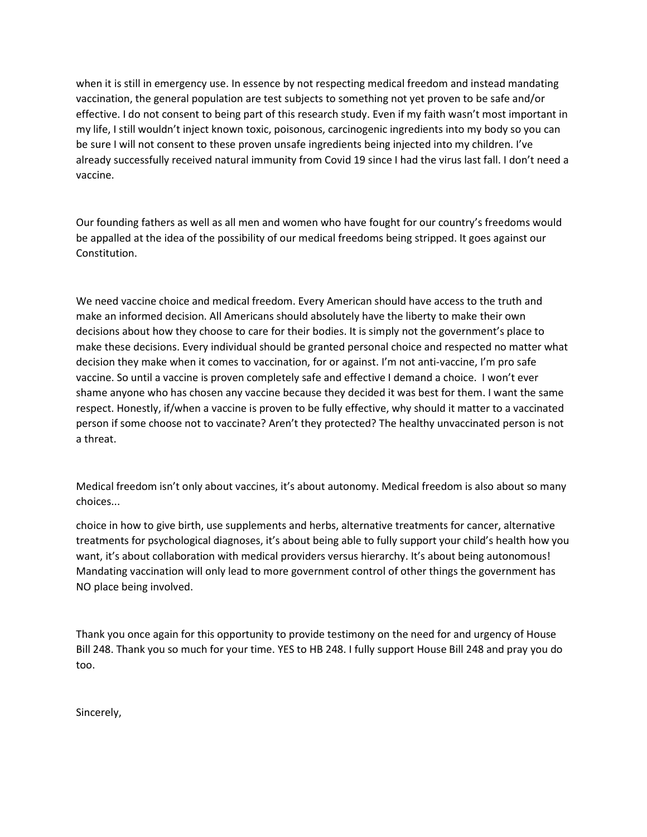when it is still in emergency use. In essence by not respecting medical freedom and instead mandating vaccination, the general population are test subjects to something not yet proven to be safe and/or effective. I do not consent to being part of this research study. Even if my faith wasn't most important in my life, I still wouldn't inject known toxic, poisonous, carcinogenic ingredients into my body so you can be sure I will not consent to these proven unsafe ingredients being injected into my children. I've already successfully received natural immunity from Covid 19 since I had the virus last fall. I don't need a vaccine.

Our founding fathers as well as all men and women who have fought for our country's freedoms would be appalled at the idea of the possibility of our medical freedoms being stripped. It goes against our Constitution.

We need vaccine choice and medical freedom. Every American should have access to the truth and make an informed decision. All Americans should absolutely have the liberty to make their own decisions about how they choose to care for their bodies. It is simply not the government's place to make these decisions. Every individual should be granted personal choice and respected no matter what decision they make when it comes to vaccination, for or against. I'm not anti-vaccine, I'm pro safe vaccine. So until a vaccine is proven completely safe and effective I demand a choice. I won't ever shame anyone who has chosen any vaccine because they decided it was best for them. I want the same respect. Honestly, if/when a vaccine is proven to be fully effective, why should it matter to a vaccinated person if some choose not to vaccinate? Aren't they protected? The healthy unvaccinated person is not a threat.

Medical freedom isn't only about vaccines, it's about autonomy. Medical freedom is also about so many choices...

choice in how to give birth, use supplements and herbs, alternative treatments for cancer, alternative treatments for psychological diagnoses, it's about being able to fully support your child's health how you want, it's about collaboration with medical providers versus hierarchy. It's about being autonomous! Mandating vaccination will only lead to more government control of other things the government has NO place being involved.

Thank you once again for this opportunity to provide testimony on the need for and urgency of House Bill 248. Thank you so much for your time. YES to HB 248. I fully support House Bill 248 and pray you do too.

Sincerely,